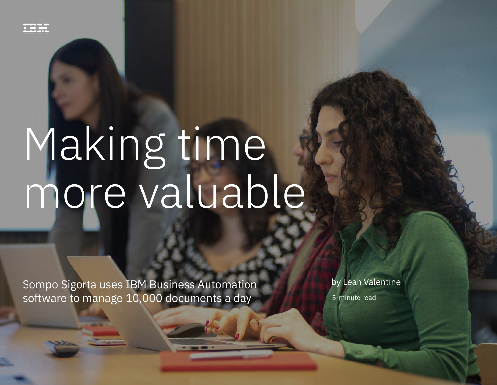

# Making time more valuable

Sompo Sigorta uses IBM Business Automation software to manage 10,000 documents a day

by Leah Valentine

5-minute read

Sompo Sigorta uses IBM Business Automation software to manage 10,000 documents a day 1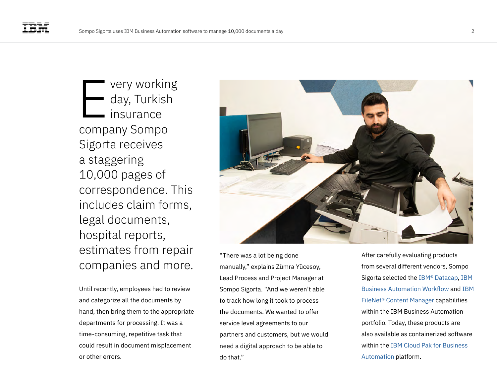very working day, Turkish insurance company Sompo Sigorta receives a staggering 10,000 pages of correspondence. This includes claim forms, legal documents, hospital reports, estimates from repair companies and more. E

Until recently, employees had to review and categorize all the documents by hand, then bring them to the appropriate departments for processing. It was a time-consuming, repetitive task that could result in document misplacement or other errors.



"There was a lot being done manually," explains Zümra Yücesoy, Lead Process and Project Manager at Sompo Sigorta. "And we weren't able to track how long it took to process the documents. We wanted to offer service level agreements to our partners and customers, but we would need a digital approach to be able to do that."

After carefully evaluating products from several different vendors, Sompo Sigorta selected the [IBM® Datacap](https://www.ibm.com/products/data-capture-and-imaging), [IBM](https://www.ibm.com/cloud/workflow)  [Business Automation Workflow](https://www.ibm.com/cloud/workflow) and [IBM](https://www.ibm.com/products/filenet-content-manager)  [FileNet® Content Manager](https://www.ibm.com/products/filenet-content-manager) capabilities within the IBM Business Automation portfolio. Today, these products are also available as containerized software within the [IBM Cloud Pak for Business](https://www.ibm.com/cloud/cloud-pak-for-business-automation)  [Automation](https://www.ibm.com/cloud/cloud-pak-for-business-automation) platform.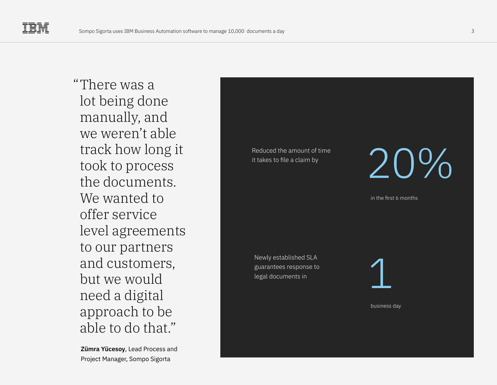There was a " lot being done manually, and we weren't able track how long it took to process the documents. We wanted to offer service level agreements to our partners and customers, but we would need a digital approach to be able to do that."

**Zümra Yücesoy**, Lead Process and Project Manager, Sompo Sigorta

Reduced the amount of time

it takes to file a claim by  $\begin{array}{c} \bigcup\limits_{i\in I}\bigcup\limits_{i\in I} \bigcup\limits_{i\in I} \bigcup\limits_{i\in I} \bigcup\limits_{i\in I} \bigcup\limits_{i\in I} \bigcup\limits_{i\in I} \bigcup\limits_{i\in I} \bigcup\limits_{i\in I} \bigcup\limits_{i\in I} \bigcup\limits_{i\in I} \bigcup\limits_{i\in I} \bigcup\limits_{i\in I} \bigcup\limits_{i\in I} \bigcup\limits_{i\in I} \bigcup\limits_{i\in I} \bigcup\limits_{i\in I$ 

in the first 6 months

Newly established SLA guarantees response to legal documents in



business day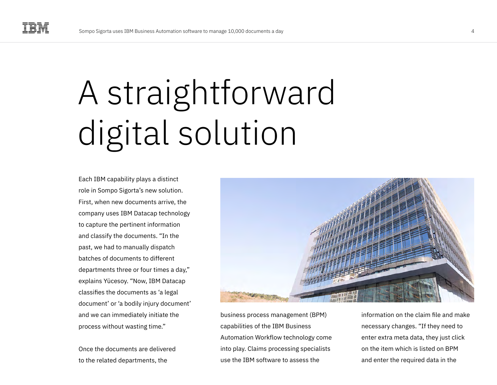## A straightforward digital solution

Each IBM capability plays a distinct role in Sompo Sigorta's new solution. First, when new documents arrive, the company uses IBM Datacap technology to capture the pertinent information and classify the documents. "In the past, we had to manually dispatch batches of documents to different departments three or four times a day," explains Yücesoy. "Now, IBM Datacap classifies the documents as 'a legal document' or 'a bodily injury document' and we can immediately initiate the process without wasting time."

Once the documents are delivered to the related departments, the



business process management (BPM) capabilities of the IBM Business Automation Workflow technology come into play. Claims processing specialists use the IBM software to assess the

information on the claim file and make necessary changes. "If they need to enter extra meta data, they just click on the item which is listed on BPM and enter the required data in the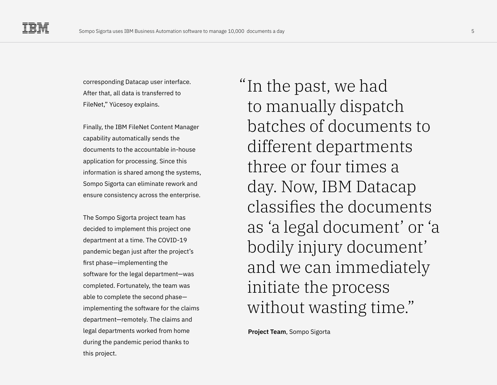corresponding Datacap user interface. After that, all data is transferred to FileNet," Yücesoy explains.

Finally, the IBM FileNet Content Manager capability automatically sends the documents to the accountable in-house application for processing. Since this information is shared among the systems, Sompo Sigorta can eliminate rework and ensure consistency across the enterprise.

The Sompo Sigorta project team has decided to implement this project one department at a time. The COVID-19 pandemic began just after the project's first phase—implementing the software for the legal department—was completed. Fortunately, the team was able to complete the second phase implementing the software for the claims department—remotely. The claims and legal departments worked from home during the pandemic period thanks to this project.

"In the past, we had to manually dispatch batches of documents to different departments three or four times a day. Now, IBM Datacap classifies the documents as 'a legal document' or 'a bodily injury document' and we can immediately initiate the process without wasting time."

**Project Team**, Sompo Sigorta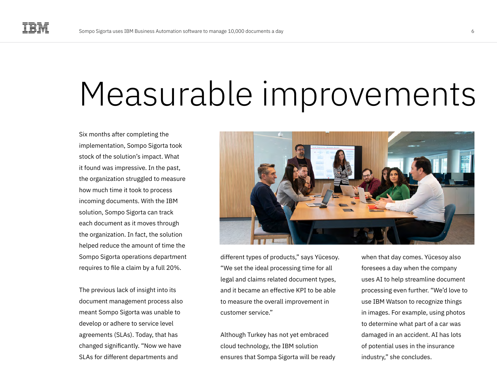### Measurable improvements

Six months after completing the implementation, Sompo Sigorta took stock of the solution's impact. What it found was impressive. In the past, the organization struggled to measure how much time it took to process incoming documents. With the IBM solution, Sompo Sigorta can track each document as it moves through the organization. In fact, the solution helped reduce the amount of time the Sompo Sigorta operations department requires to file a claim by a full 20%.

The previous lack of insight into its document management process also meant Sompo Sigorta was unable to develop or adhere to service level agreements (SLAs). Today, that has changed significantly. "Now we have SLAs for different departments and



different types of products," says Yücesoy. "We set the ideal processing time for all legal and claims related document types, and it became an effective KPI to be able to measure the overall improvement in customer service."

Although Turkey has not yet embraced cloud technology, the IBM solution ensures that Sompa Sigorta will be ready

when that day comes. Yücesoy also foresees a day when the company uses AI to help streamline document processing even further. "We'd love to use IBM Watson to recognize things in images. For example, using photos to determine what part of a car was damaged in an accident. AI has lots of potential uses in the insurance industry," she concludes.